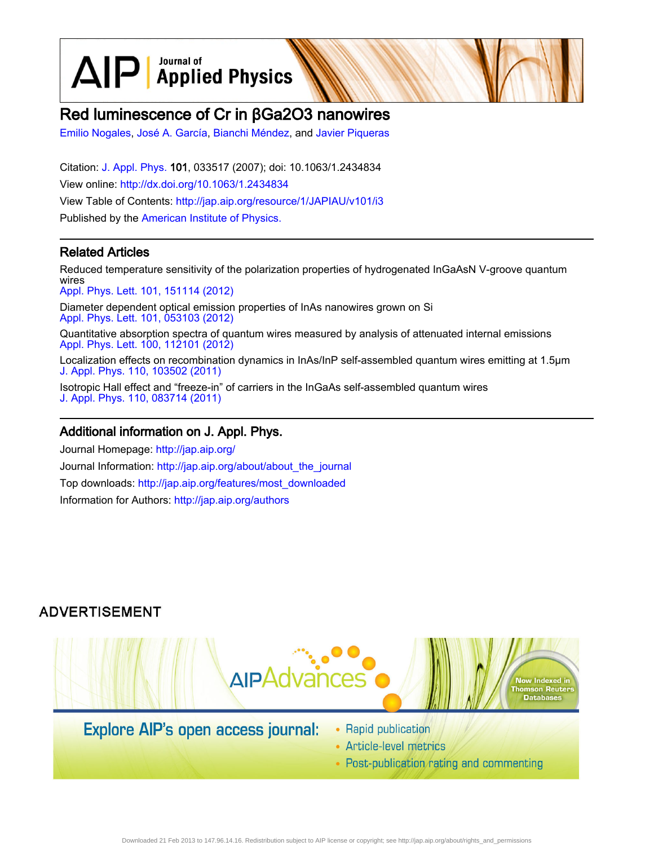$\text{AlP}$  Applied Physics

# Red luminescence of Cr in βGa2O3 nanowires

[Emilio Nogales,](http://jap.aip.org/search?sortby=newestdate&q=&searchzone=2&searchtype=searchin&faceted=faceted&key=AIP_ALL&possible1=Emilio Nogales&possible1zone=author&alias=&displayid=AIP&ver=pdfcov) [José A. García](http://jap.aip.org/search?sortby=newestdate&q=&searchzone=2&searchtype=searchin&faceted=faceted&key=AIP_ALL&possible1=Jos� A. Garc�a&possible1zone=author&alias=&displayid=AIP&ver=pdfcov), [Bianchi Méndez,](http://jap.aip.org/search?sortby=newestdate&q=&searchzone=2&searchtype=searchin&faceted=faceted&key=AIP_ALL&possible1=Bianchi M�ndez&possible1zone=author&alias=&displayid=AIP&ver=pdfcov) and [Javier Piqueras](http://jap.aip.org/search?sortby=newestdate&q=&searchzone=2&searchtype=searchin&faceted=faceted&key=AIP_ALL&possible1=Javier Piqueras&possible1zone=author&alias=&displayid=AIP&ver=pdfcov)

Citation: [J. Appl. Phys.](http://jap.aip.org/?ver=pdfcov) 101, 033517 (2007); doi: 10.1063/1.2434834 View online: [http://dx.doi.org/10.1063/1.2434834](http://link.aip.org/link/doi/10.1063/1.2434834?ver=pdfcov) View Table of Contents: [http://jap.aip.org/resource/1/JAPIAU/v101/i3](http://jap.aip.org/resource/1/JAPIAU/v101/i3?ver=pdfcov) Published by the [American Institute of Physics.](http://www.aip.org/?ver=pdfcov)

## Related Articles

Reduced temperature sensitivity of the polarization properties of hydrogenated InGaAsN V-groove quantum wires [Appl. Phys. Lett. 101, 151114 \(2012\)](http://link.aip.org/link/doi/10.1063/1.4758685?ver=pdfcov)

Diameter dependent optical emission properties of InAs nanowires grown on Si [Appl. Phys. Lett. 101, 053103 \(2012\)](http://link.aip.org/link/doi/10.1063/1.4739001?ver=pdfcov)

Quantitative absorption spectra of quantum wires measured by analysis of attenuated internal emissions [Appl. Phys. Lett. 100, 112101 \(2012\)](http://link.aip.org/link/doi/10.1063/1.3693401?ver=pdfcov)

Localization effects on recombination dynamics in InAs/InP self-assembled quantum wires emitting at 1.5μm [J. Appl. Phys. 110, 103502 \(2011\)](http://link.aip.org/link/doi/10.1063/1.3660260?ver=pdfcov)

Isotropic Hall effect and "freeze-in" of carriers in the InGaAs self-assembled quantum wires [J. Appl. Phys. 110, 083714 \(2011\)](http://link.aip.org/link/doi/10.1063/1.3656455?ver=pdfcov)

## Additional information on J. Appl. Phys.

Journal Homepage: [http://jap.aip.org/](http://jap.aip.org/?ver=pdfcov) Journal Information: [http://jap.aip.org/about/about\\_the\\_journal](http://jap.aip.org/about/about_the_journal?ver=pdfcov) Top downloads: [http://jap.aip.org/features/most\\_downloaded](http://jap.aip.org/features/most_downloaded?ver=pdfcov) Information for Authors: [http://jap.aip.org/authors](http://jap.aip.org/authors?ver=pdfcov)

# **ADVERTISEMENT**



# **Explore AIP's open access journal:**

- Rapid publication
- Article-level metrics
- Post-publication rating and commenting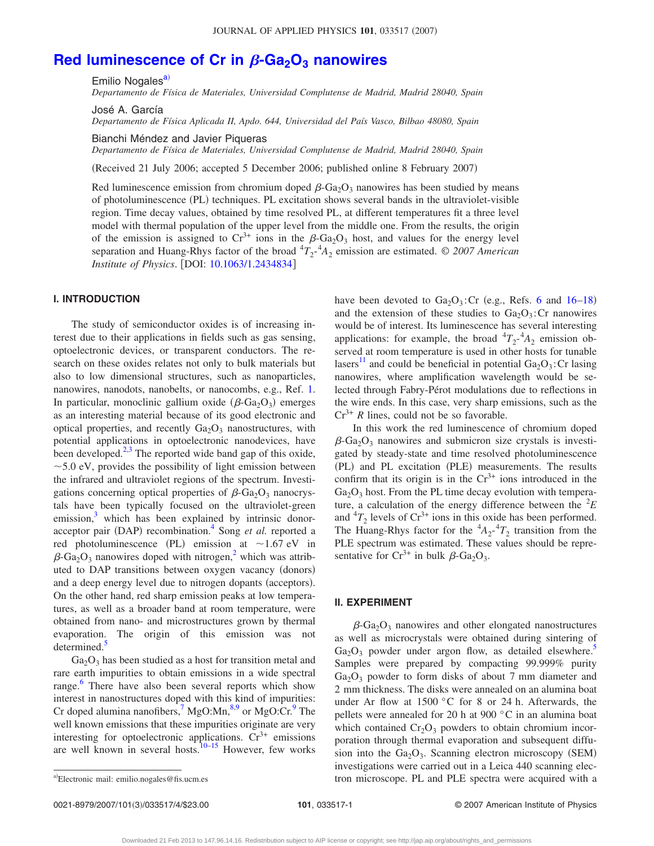# [Red luminescence of Cr in](http://dx.doi.org/10.1063/1.2434834)  $\beta$ -Ga<sub>2</sub>O<sub>3</sub> nanowires

Emilio Nogales<sup>a)</sup>

*Departamento de Física de Materiales, Universidad Complutense de Madrid, Madrid 28040, Spain*

José A. García

*Departamento de Física Aplicada II, Apdo. 644, Universidad del País Vasco, Bilbao 48080, Spain*

Bianchi Méndez and Javier Piqueras

*Departamento de Física de Materiales, Universidad Complutense de Madrid, Madrid 28040, Spain*

Received 21 July 2006; accepted 5 December 2006; published online 8 February 2007-

Red luminescence emission from chromium doped  $\beta$ -Ga<sub>2</sub>O<sub>3</sub> nanowires has been studied by means of photoluminescence (PL) techniques. PL excitation shows several bands in the ultraviolet-visible region. Time decay values, obtained by time resolved PL, at different temperatures fit a three level model with thermal population of the upper level from the middle one. From the results, the origin of the emission is assigned to  $Cr^{3+}$  ions in the  $\beta$ -Ga<sub>2</sub>O<sub>3</sub> host, and values for the energy level separation and Huang-Rhys factor of the broad  ${}^{4}T_{2}$ <sup>-4</sup> $A_{2}$  emission are estimated. © 2007 American *Institute of Physics.* [DOI: [10.1063/1.2434834](http://dx.doi.org/10.1063/1.2434834)]

## **I. INTRODUCTION**

The study of semiconductor oxides is of increasing interest due to their applications in fields such as gas sensing, optoelectronic devices, or transparent conductors. The research on these oxides relates not only to bulk materials but also to low dimensional structures, such as nanoparticles, nanowires, nanodots, nanobelts, or nanocombs, e.g., Ref. [1.](#page-4-0) In particular, monoclinic gallium oxide  $(\beta$ -Ga<sub>2</sub>O<sub>3</sub>) emerges as an interesting material because of its good electronic and optical properties, and recently  $Ga_2O_3$  nanostructures, with potential applications in optoelectronic nanodevices, have been developed. $2,3$  $2,3$  The reported wide band gap of this oxide,  $\sim$  5.0 eV, provides the possibility of light emission between the infrared and ultraviolet regions of the spectrum. Investigations concerning optical properties of  $\beta$ -Ga<sub>2</sub>O<sub>3</sub> nanocrystals have been typically focused on the ultraviolet-green emission, $3$  which has been explained by intrinsic donoracceptor pair (DAP) recombination.<sup>4</sup> Song *et al.* reported a red photoluminescence (PL) emission at  $\sim$ 1.67 eV in  $\beta$ -Ga<sub>2</sub>O<sub>3</sub> nanowires doped with nitrogen,<sup>2</sup> which was attributed to DAP transitions between oxygen vacancy (donors) and a deep energy level due to nitrogen dopants (acceptors). On the other hand, red sharp emission peaks at low temperatures, as well as a broader band at room temperature, were obtained from nano- and microstructures grown by thermal evaporation. The origin of this emission was not determined.<sup>5</sup>

 $Ga<sub>2</sub>O<sub>3</sub>$  has been studied as a host for transition metal and rare earth impurities to obtain emissions in a wide spectral range.<sup>[6](#page-4-5)</sup> There have also been several reports which show interest in nanostructures doped with this kind of impurities: Cr doped alumina nanofibers,  $\frac{7}{1}$  MgO:Mn,  $\frac{8.9}{1}$  $\frac{8.9}{1}$  $\frac{8.9}{1}$  or MgO:Cr.<sup>9</sup> The well known emissions that these impurities originate are very interesting for optoelectronic applications.  $Cr^{3+}$  emissions are well known in several hosts.<sup>10–[15](#page-4-10)</sup> However, few works

have been devoted to  $Ga_2O_3$ : Cr (e.g., Refs. [6](#page-4-5) and [16](#page-4-11)[–18](#page-4-12)) and the extension of these studies to  $Ga_2O_3$ : Cr nanowires would be of interest. Its luminescence has several interesting applications: for example, the broad  ${}^{4}T_{2}$ <sup>-4</sup> $A_{2}$  emission observed at room temperature is used in other hosts for tunable lasers<sup>[11](#page-4-13)</sup> and could be beneficial in potential  $Ga_2O_3$ : Cr lasing nanowires, where amplification wavelength would be selected through Fabry-Pérot modulations due to reflections in the wire ends. In this case, very sharp emissions, such as the  $Cr^{3+}$  *R* lines, could not be so favorable.

In this work the red luminescence of chromium doped  $\beta$ -Ga<sub>2</sub>O<sub>3</sub> nanowires and submicron size crystals is investigated by steady-state and time resolved photoluminescence (PL) and PL excitation (PLE) measurements. The results confirm that its origin is in the  $Cr^{3+}$  ions introduced in the  $Ga<sub>2</sub>O<sub>3</sub>$  host. From the PL time decay evolution with temperature, a calculation of the energy difference between the  ${}^{2}E$ and  ${}^{4}T_2$  levels of Cr<sup>3+</sup> ions in this oxide has been performed. The Huang-Rhys factor for the  $^{4}A_{2}$ - $^{4}T_{2}$  transition from the PLE spectrum was estimated. These values should be representative for  $Cr^{3+}$  in bulk  $\beta$ -Ga<sub>2</sub>O<sub>3</sub>.

### **II. EXPERIMENT**

 $\beta$ -Ga<sub>2</sub>O<sub>3</sub> nanowires and other elongated nanostructures as well as microcrystals were obtained during sintering of  $Ga_2O_3$  powder under argon flow, as detailed elsewhere. Samples were prepared by compacting 99.999% purity  $Ga<sub>2</sub>O<sub>3</sub>$  powder to form disks of about 7 mm diameter and 2 mm thickness. The disks were annealed on an alumina boat under Ar flow at 1500 °C for 8 or 24 h. Afterwards, the pellets were annealed for 20 h at 900 °C in an alumina boat which contained  $Cr_2O_3$  powders to obtain chromium incorporation through thermal evaporation and subsequent diffusion into the  $Ga<sub>2</sub>O<sub>3</sub>$ . Scanning electron microscopy (SEM) investigations were carried out in a Leica 440 scanning electron microscope. PL and PLE spectra were acquired with a <sup>a</sup>-

<span id="page-1-0"></span>Electronic mail: emilio.nogales@fis.ucm.es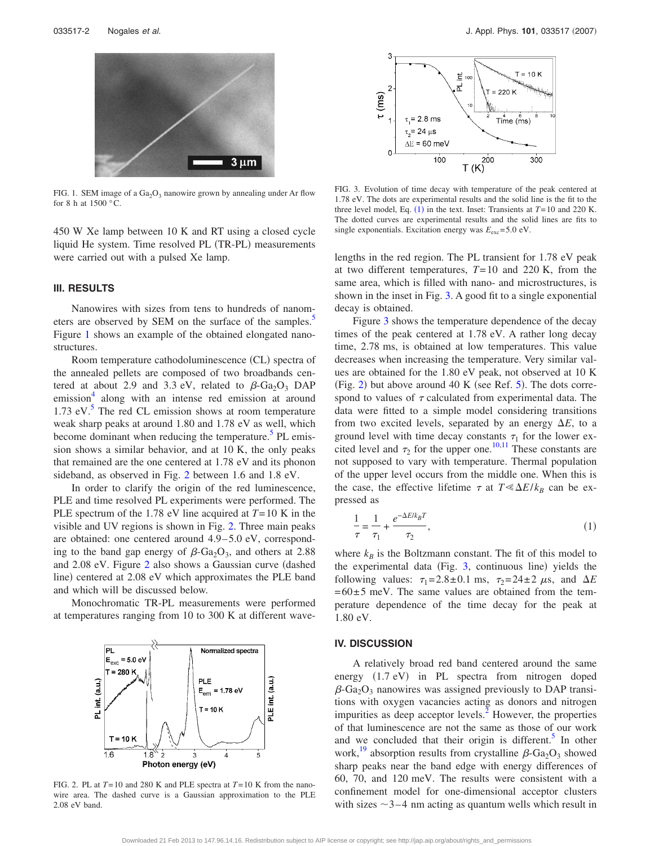<span id="page-2-0"></span>

FIG. 1. SEM image of a  $Ga<sub>2</sub>O<sub>3</sub>$  nanowire grown by annealing under Ar flow for 8 h at 1500 °C.

450 W Xe lamp between 10 K and RT using a closed cycle liquid He system. Time resolved PL (TR-PL) measurements were carried out with a pulsed Xe lamp.

## **III. RESULTS**

Nanowires with sizes from tens to hundreds of nanometers are observed by SEM on the surface of the samples.<sup>5</sup> Figure [1](#page-2-0) shows an example of the obtained elongated nanostructures.

Room temperature cathodoluminescence (CL) spectra of the annealed pellets are composed of two broadbands centered at about 2.9 and 3.3 eV, related to  $\beta$ -Ga<sub>2</sub>O<sub>3</sub> DAP emission<sup>4</sup> along with an intense red emission at around 1.73 eV. $^5$  The red CL emission shows at room temperature weak sharp peaks at around 1.80 and 1.78 eV as well, which become dominant when reducing the temperature.<sup>5</sup> PL emission shows a similar behavior, and at 10 K, the only peaks that remained are the one centered at 1.78 eV and its phonon sideband, as observed in Fig. [2](#page-2-1) between 1.6 and 1.8 eV.

In order to clarify the origin of the red luminescence, PLE and time resolved PL experiments were performed. The PLE spectrum of the 1.78 eV line acquired at *T*= 10 K in the visible and UV regions is shown in Fig. [2.](#page-2-1) Three main peaks are obtained: one centered around 4.9–5.0 eV, corresponding to the band gap energy of  $\beta$ -Ga<sub>2</sub>O<sub>3</sub>, and others at 2.88 and [2](#page-2-1).08 eV. Figure 2 also shows a Gaussian curve (dashed line) centered at 2.08 eV which approximates the PLE band and which will be discussed below.

<span id="page-2-1"></span>Monochromatic TR-PL measurements were performed at temperatures ranging from 10 to 300 K at different wave-



FIG. 2. PL at *T*= 10 and 280 K and PLE spectra at *T*= 10 K from the nanowire area. The dashed curve is a Gaussian approximation to the PLE 2.08 eV band.

<span id="page-2-2"></span>

FIG. 3. Evolution of time decay with temperature of the peak centered at 1.78 eV. The dots are experimental results and the solid line is the fit to the three level model, Eq.  $(1)$  $(1)$  $(1)$  in the text. Inset: Transients at  $T = 10$  and 220 K. The dotted curves are experimental results and the solid lines are fits to single exponentials. Excitation energy was  $E_{\text{exc}} = 5.0 \text{ eV}$ .

lengths in the red region. The PL transient for 1.78 eV peak at two different temperatures, *T*= 10 and 220 K, from the same area, which is filled with nano- and microstructures, is shown in the inset in Fig. [3.](#page-2-2) A good fit to a single exponential decay is obtained.

Figure [3](#page-2-2) shows the temperature dependence of the decay times of the peak centered at 1.78 eV. A rather long decay time, 2.78 ms, is obtained at low temperatures. This value decreases when increasing the temperature. Very similar values are obtained for the 1.80 eV peak, not observed at 10 K (Fig. [2](#page-2-1)) but above around 40 K (see Ref.  $5$ ). The dots correspond to values of  $\tau$  calculated from experimental data. The data were fitted to a simple model considering transitions from two excited levels, separated by an energy  $\Delta E$ , to a ground level with time decay constants  $\tau_1$  for the lower excited level and  $\tau_2$  for the upper one.<sup>10,[11](#page-4-13)</sup> These constants are not supposed to vary with temperature. Thermal population of the upper level occurs from the middle one. When this is the case, the effective lifetime  $\tau$  at  $T \le \Delta E / k_B$  can be expressed as

<span id="page-2-3"></span>
$$
\frac{1}{\tau} = \frac{1}{\tau_1} + \frac{e^{-\Delta E/k_B T}}{\tau_2},\tag{1}
$$

where  $k_B$  is the Boltzmann constant. The fit of this model to the experimental data (Fig. [3,](#page-2-2) continuous line) yields the following values:  $\tau_1 = 2.8 \pm 0.1$  ms,  $\tau_2 = 24 \pm 2 \mu s$ , and  $\Delta E$  $= 60 \pm 5$  meV. The same values are obtained from the temperature dependence of the time decay for the peak at 1.80 eV.

### **IV. DISCUSSION**

A relatively broad red band centered around the same energy (1.7 eV) in PL spectra from nitrogen doped  $\beta$ -Ga<sub>2</sub>O<sub>3</sub> nanowires was assigned previously to DAP transitions with oxygen vacancies acting as donors and nitrogen impurities as deep acceptor levels.<sup>2</sup> However, the properties of that luminescence are not the same as those of our work and we concluded that their origin is different. $5$  In other work,<sup>19</sup> absorption results from crystalline  $\beta$ -Ga<sub>2</sub>O<sub>3</sub> showed sharp peaks near the band edge with energy differences of 60, 70, and 120 meV. The results were consistent with a confinement model for one-dimensional acceptor clusters with sizes  $\sim$ 3-4 nm acting as quantum wells which result in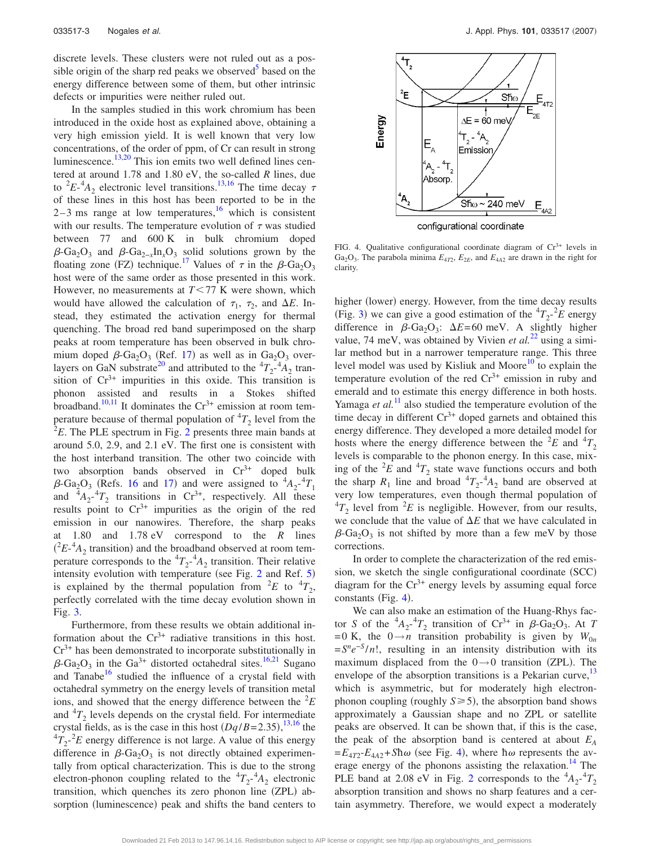discrete levels. These clusters were not ruled out as a possible origin of the sharp red peaks we observed<sup>5</sup> based on the energy difference between some of them, but other intrinsic defects or impurities were neither ruled out.

In the samples studied in this work chromium has been introduced in the oxide host as explained above, obtaining a very high emission yield. It is well known that very low concentrations, of the order of ppm, of Cr can result in strong luminescence. $\frac{13,20}{13}$  $\frac{13,20}{13}$  $\frac{13,20}{13}$  This ion emits two well defined lines centered at around 1.78 and 1.80 eV, the so-called *R* lines, due to <sup>2</sup> $E$ <sup>-4</sup> $A_2$  electronic level transitions.<sup>13,[16](#page-4-11)</sup> The time decay  $\tau$ of these lines in this host has been reported to be in the  $2-3$  ms range at low temperatures, <sup>16</sup> which is consistent with our results. The temperature evolution of  $\tau$  was studied between 77 and 600 K in bulk chromium doped  $\beta$ -Ga<sub>2</sub>O<sub>3</sub> and  $\beta$ -Ga<sub>2−*x*</sub>In<sub>*x*</sub>O<sub>3</sub> solid solutions grown by the floating zone (FZ) technique.<sup>17</sup> Values of  $\tau$  in the  $\beta$ -Ga<sub>2</sub>O<sub>3</sub> host were of the same order as those presented in this work. However, no measurements at  $T < 77$  K were shown, which would have allowed the calculation of  $\tau_1$ ,  $\tau_2$ , and  $\Delta E$ . Instead, they estimated the activation energy for thermal quenching. The broad red band superimposed on the sharp peaks at room temperature has been observed in bulk chromium doped  $\beta$ -Ga<sub>2</sub>O<sub>3</sub> (Ref. [17](#page-4-17)) as well as in Ga<sub>2</sub>O<sub>3</sub> overlayers on GaN substrate<sup>20</sup> and attributed to the  ${}^{4}T_{2}^{-4}A_{2}$  transition of  $Cr^{3+}$  impurities in this oxide. This transition is phonon assisted and results in a Stokes shifted broadband.<sup>10[,11](#page-4-13)</sup> It dominates the  $Cr^{3+}$  emission at room temperature because of thermal population of  ${}^{4}T_{2}$  level from the  ${}^{2}E$  ${}^{2}E$  ${}^{2}E$ . The PLE spectrum in Fig. 2 presents three main bands at around 5.0, 2.9, and 2.1 eV. The first one is consistent with the host interband transition. The other two coincide with two absorption bands observed in  $Cr^{3+}$  doped bulk  $\beta$ -Ga<sub>2</sub>O<sub>3</sub> (Refs. [16](#page-4-11) and [17](#page-4-17)) and were assigned to  ${}^4A_2$ - ${}^4T_1$ and  $^{4}A_{2}^{-4}T_{2}$  transitions in Cr<sup>3+</sup>, respectively. All these results point to  $Cr^{3+}$  impurities as the origin of the red emission in our nanowires. Therefore, the sharp peaks at 1.80 and 1.78 eV correspond to the *R* lines  $(^{2}E^{4}A_{2}$  transition) and the broadband observed at room temperature corresponds to the  ${}^{4}T_{2}$ - ${}^{4}A_{2}$  transition. Their relative intensity evolution with temperature (see Fig.  $2$  and Ref.  $5$ ) is explained by the thermal population from  ${}^{2}E$  to  ${}^{4}T_2$ , perfectly correlated with the time decay evolution shown in Fig. [3.](#page-2-2)

Furthermore, from these results we obtain additional information about the  $Cr^{3+}$  radiative transitions in this host.  $Cr<sup>3+</sup>$  has been demonstrated to incorporate substitutionally in  $\beta$ -Ga<sub>2</sub>O<sub>3</sub> in the Ga<sup>3+</sup> distorted octahedral sites.<sup>16,[21](#page-4-18)</sup> Sugano and Tanabe<sup>16</sup> studied the influence of a crystal field with octahedral symmetry on the energy levels of transition metal ions, and showed that the energy difference between the  ${}^{2}E$ and  ${}^{4}T_{2}$  levels depends on the crystal field. For intermediate crystal fields, as is the case in this host  $(Dq/B=2.35),^{13,16}$  $(Dq/B=2.35),^{13,16}$  $(Dq/B=2.35),^{13,16}$  $(Dq/B=2.35),^{13,16}$  the  ${}^{4}T_{2}$ <sup>-2</sup>*E* energy difference is not large. A value of this energy difference in  $\beta$ -Ga<sub>2</sub>O<sub>3</sub> is not directly obtained experimentally from optical characterization. This is due to the strong electron-phonon coupling related to the  ${}^{4}T_{2}{}^{4}A_{2}$  electronic transition, which quenches its zero phonon line (ZPL) absorption (luminescence) peak and shifts the band centers to

<span id="page-3-0"></span>

FIG. 4. Qualitative configurational coordinate diagram of  $Cr<sup>3+</sup>$  levels in Ga<sub>2</sub>O<sub>3</sub>. The parabola minima  $E_{4T2}$ ,  $E_{2E}$ , and  $E_{4A2}$  are drawn in the right for clarity.

higher (lower) energy. However, from the time decay results (Fig. [3](#page-2-2)) we can give a good estimation of the  ${}^4T_2$ - ${}^2E$  energy difference in  $\beta$ -Ga<sub>2</sub>O<sub>3</sub>:  $\Delta E$ =60 meV. A slightly higher value, 74 meV, was obtained by Vivien *et al.*<sup>[22](#page-4-19)</sup> using a similar method but in a narrower temperature range. This three level model was used by Kisliuk and Moore<sup>10</sup> to explain the temperature evolution of the red  $Cr^{3+}$  emission in ruby and emerald and to estimate this energy difference in both hosts. Yamaga *et al.*<sup>[11](#page-4-13)</sup> also studied the temperature evolution of the time decay in different  $Cr^{3+}$  doped garnets and obtained this energy difference. They developed a more detailed model for hosts where the energy difference between the  ${}^{2}E$  and  ${}^{4}T_2$ levels is comparable to the phonon energy. In this case, mixing of the  ${}^{2}E$  and  ${}^{4}T_2$  state wave functions occurs and both the sharp  $R_1$  line and broad  ${}^4T_2$ - ${}^4A_2$  band are observed at very low temperatures, even though thermal population of  ${}^{4}T_{2}$  level from  ${}^{2}E$  is negligible. However, from our results, we conclude that the value of  $\Delta E$  that we have calculated in  $\beta$ -Ga<sub>2</sub>O<sub>3</sub> is not shifted by more than a few meV by those corrections.

In order to complete the characterization of the red emission, we sketch the single configurational coordinate (SCC) diagram for the  $Cr^{3+}$  energy levels by assuming equal force constants (Fig. [4](#page-3-0)).

We can also make an estimation of the Huang-Rhys factor *S* of the  ${}^4A_2$ - ${}^4T_2$  transition of Cr<sup>3+</sup> in  $\beta$ -Ga<sub>2</sub>O<sub>3</sub>. At *T* = 0 K, the  $0 \rightarrow n$  transition probability is given by  $W_{0n}$  $= S^n e^{-S}/n!$ , resulting in an intensity distribution with its maximum displaced from the  $0 \rightarrow 0$  transition (ZPL). The envelope of the absorption transitions is a Pekarian curve,<sup>13</sup> which is asymmetric, but for moderately high electronphonon coupling (roughly  $S \ge 5$ ), the absorption band shows approximately a Gaussian shape and no ZPL or satellite peaks are observed. It can be shown that, if this is the case, the peak of the absorption band is centered at about *EA*  $=E_{4T2}$  $=E_{4T2}$  $=E_{4T2}$ - $E_{4A2}$ +*Shω* (see Fig. 4), where h $\omega$  represents the average energy of the phonons assisting the relaxation.<sup>14</sup> The PLE band at [2](#page-2-1).08 eV in Fig. 2 corresponds to the  ${}^{4}A_{2}$ <sup>- ${}^{4}T_{2}$ </sup> absorption transition and shows no sharp features and a certain asymmetry. Therefore, we would expect a moderately